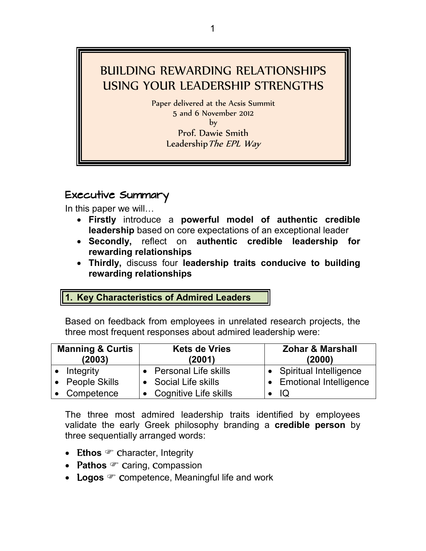# BUILDING REWARDING RELATIONSHIPS USING YOUR LEADERSHIP STRENGTHS

Paper delivered at the Acsis Summit 5 and 6 November 2012 by Prof. Dawie Smith Leadership The EPL Way

Executive Summary In this paper we will...

- **Firstly** introduce a **powerful model of authentic credible leadership** based on core expectations of an exceptional leader
- **Secondly,** reflect on **authentic credible leadership for rewarding relationships**
- **Thirdly,** discuss four **leadership traits conducive to building rewarding relationships**

### **1. Key Characteristics of Admired Leaders**

Based on feedback from employees in unrelated research projects, the three most frequent responses about admired leadership were:

| <b>Manning &amp; Curtis</b><br>(2003) |                 | <b>Kets de Vries</b><br>(2001) |  | <b>Zohar &amp; Marshall</b><br>(2000) |
|---------------------------------------|-----------------|--------------------------------|--|---------------------------------------|
|                                       | Integrity       | • Personal Life skills         |  | • Spiritual Intelligence              |
|                                       | • People Skills | • Social Life skills           |  | • Emotional Intelligence              |
|                                       | Competence      | • Cognitive Life skills        |  | IQ                                    |

The three most admired leadership traits identified by employees validate the early Greek philosophy branding a **credible person** by three sequentially arranged words:

- Ethos *C* character, Integrity
- **Pathos** *Caring*, **Compassion**
- Logos <sup>o</sup> Competence, Meaningful life and work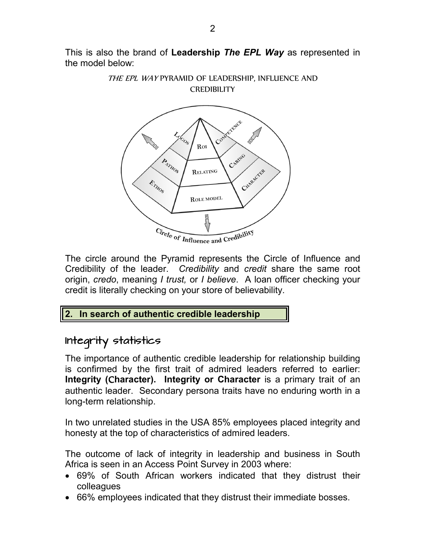This is also the brand of **Leadership** *The EPL Way* as represented in the model below:



The circle around the Pyramid represents the Circle of Influence and Credibility of the leader. *Credibility* and *credit* share the same root origin, *credo*, meaning *I trust,* or *I believe*. A loan officer checking your credit is literally checking on your store of believability.

#### **2. In search of authentic credible leadership**

### Integrity statistics

The importance of authentic credible leadership for relationship building is confirmed by the first trait of admired leaders referred to earlier: **Integrity (**C**haracter). Integrity or Character** is a primary trait of an authentic leader. Secondary persona traits have no enduring worth in a long-term relationship.

In two unrelated studies in the USA 85% employees placed integrity and honesty at the top of characteristics of admired leaders.

The outcome of lack of integrity in leadership and business in South Africa is seen in an Access Point Survey in 2003 where:

- 69% of South African workers indicated that they distrust their colleagues
- 66% employees indicated that they distrust their immediate bosses.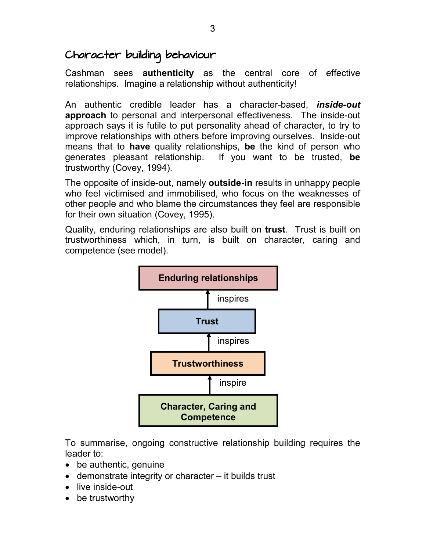### Character building behaviour

Cashman sees **authenticity** as the central core of effective relationships. Imagine a relationship without authenticity!

An authentic credible leader has a character-based, *inside-out* **approach** to personal and interpersonal effectiveness. The inside-out approach says it is futile to put personality ahead of character, to try to improve relationships with others before improving ourselves. Inside-out means that to **have** quality relationships, **be** the kind of person who generates pleasant relationship. If you want to be trusted, **be** trustworthy (Covey, 1994).

The opposite of inside-out, namely **outside-in** results in unhappy people who feel victimised and immobilised, who focus on the weaknesses of other people and who blame the circumstances they feel are responsible for their own situation (Covey, 1995).

Quality, enduring relationships are also built on **trust**. Trust is built on trustworthiness which, in turn, is built on character, caring and competence (see model).



To summarise, ongoing constructive relationship building requires the leader to:

- be authentic, genuine
- demonstrate integrity or character it builds trust
- live inside-out
- be trustworthy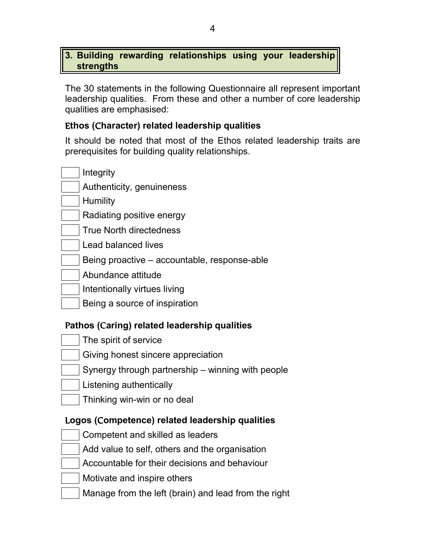#### **3. Building rewarding relationships using your leadership strengths**

The 30 statements in the following Questionnaire all represent important leadership qualities. From these and other a number of core leadership qualities are emphasised:

#### E**thos (**C**haracter) related leadership qualities**

It should be noted that most of the Ethos related leadership traits are prerequisites for building quality relationships.

- **Integrity**
- Authenticity, genuineness
- **Humility**
- Radiating positive energy
- True North directedness
- Lead balanced lives
- Being proactive accountable, response-able
- Abundance attitude
- Intentionally virtues living
- Being a source of inspiration

#### P**athos (**C**aring) related leadership qualities**

- The spirit of service
- Giving honest sincere appreciation
- Synergy through partnership winning with people
- Listening authentically
- Thinking win-win or no deal

#### L**ogos (**C**ompetence) related leadership qualities**

- Competent and skilled as leaders
- Add value to self, others and the organisation
- Accountable for their decisions and behaviour
- Motivate and inspire others
- Manage from the left (brain) and lead from the right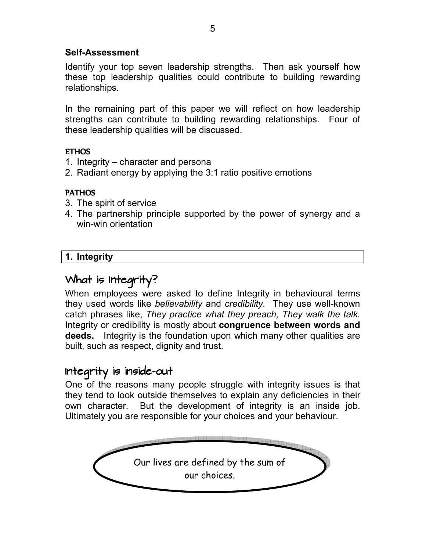#### **Self-Assessment**

Identify your top seven leadership strengths. Then ask yourself how these top leadership qualities could contribute to building rewarding relationships.

In the remaining part of this paper we will reflect on how leadership strengths can contribute to building rewarding relationships. Four of these leadership qualities will be discussed.

#### **ETHOS**

- 1. Integrity character and persona
- 2. Radiant energy by applying the 3:1 ratio positive emotions

#### PATHOS

- 3. The spirit of service
- 4. The partnership principle supported by the power of synergy and a win-win orientation

#### **1. Integrity**

### What is Integrity?

When employees were asked to define Integrity in behavioural terms they used words like *believability* and *credibility.* They use well-known catch phrases like, *They practice what they preach, They walk the talk.* Integrity or credibility is mostly about **congruence between words and deeds.** Integrity is the foundation upon which many other qualities are built, such as respect, dignity and trust.

### Integrity is inside-out

One of the reasons many people struggle with integrity issues is that they tend to look outside themselves to explain any deficiencies in their own character. But the development of integrity is an inside job. Ultimately you are responsible for your choices and your behaviour.

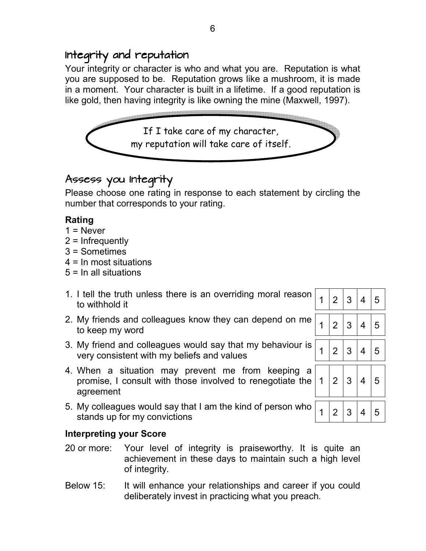### Integrity and reputation

Your integrity or character is who and what you are. Reputation is what you are supposed to be. Reputation grows like a mushroom, it is made in a moment. Your character is built in a lifetime. If a good reputation is like gold, then having integrity is like owning the mine (Maxwell, 1997).



### Assess you Integrity

Please choose one rating in response to each statement by circling the number that corresponds to your rating.

### **Rating**

- $1 =$  Never
- 2 = Infrequently
- 3 = Sometimes
- 4 = In most situations
- 5 = In all situations
- 1. I tell the truth unless there is an overriding moral reason to withhold it<br>to withhold it
- 2. My friends and colleagues know they can depend on me to keep my word
- 3. My friend and colleagues would say that my behaviour is very consistent with my beliefs and values  $\left| \frac{1}{2} \right| 3 \left| 4 \right| 5$
- 4. When a situation may prevent me from keeping a promise, I consult with those involved to renegotiate the agreement
- 5. My colleagues would say that I am the kind of person who stands up for my convictions  $\left| \frac{3}{2} \right| 3 \left| 4 \right| 5$

#### **Interpreting your Score**

- 20 or more: Your level of integrity is praiseworthy. It is quite an achievement in these days to maintain such a high level of integrity.
- Below 15: It will enhance your relationships and career if you could deliberately invest in practicing what you preach.

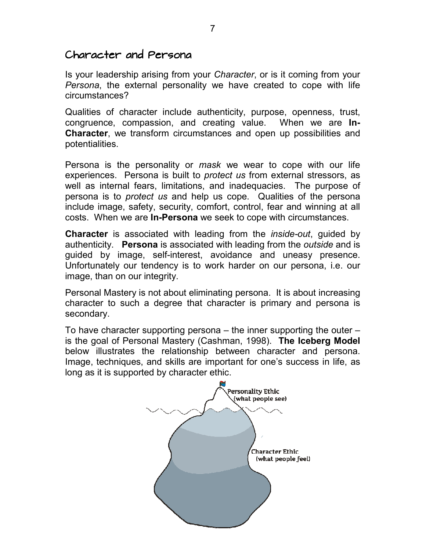### Character and Persona

Is your leadership arising from your *Character*, or is it coming from your *Persona*, the external personality we have created to cope with life circumstances?

Qualities of character include authenticity, purpose, openness, trust, congruence, compassion, and creating value. When we are **In-Character**, we transform circumstances and open up possibilities and potentialities.

Persona is the personality or *mask* we wear to cope with our life experiences. Persona is built to *protect us* from external stressors, as well as internal fears, limitations, and inadequacies. The purpose of persona is to *protect us* and help us cope. Qualities of the persona include image, safety, security, comfort, control, fear and winning at all costs. When we are **In-Persona** we seek to cope with circumstances.

**Character** is associated with leading from the *inside-out*, guided by authenticity. **Persona** is associated with leading from the *outside* and is guided by image, self-interest, avoidance and uneasy presence. Unfortunately our tendency is to work harder on our persona, i.e. our image, than on our integrity.

Personal Mastery is not about eliminating persona. It is about increasing character to such a degree that character is primary and persona is secondary.

To have character supporting persona – the inner supporting the outer – is the goal of Personal Mastery (Cashman, 1998). **The Iceberg Model** below illustrates the relationship between character and persona. Image, techniques, and skills are important for one's success in life, as long as it is supported by character ethic.

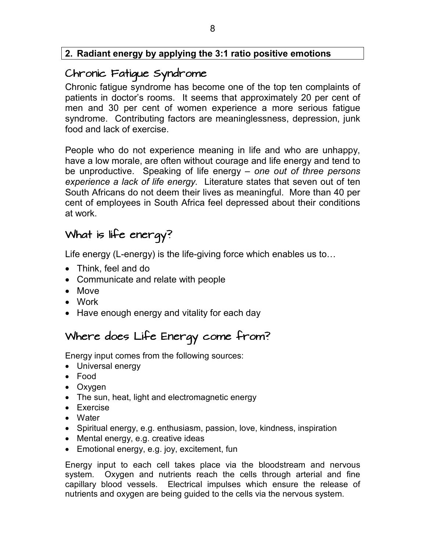#### **2. Radiant energy by applying the 3:1 ratio positive emotions**

### Chronic Fatigue Syndrome

Chronic fatigue syndrome has become one of the top ten complaints of patients in doctor's rooms. It seems that approximately 20 per cent of men and 30 per cent of women experience a more serious fatigue syndrome. Contributing factors are meaninglessness, depression, junk food and lack of exercise.

People who do not experience meaning in life and who are unhappy, have a low morale, are often without courage and life energy and tend to be unproductive. Speaking of life energy – *one out of three persons experience a lack of life energy.* Literature states that seven out of ten South Africans do not deem their lives as meaningful. More than 40 per cent of employees in South Africa feel depressed about their conditions at work.

## What is life energy?

Life energy (L-energy) is the life-giving force which enables us to...

- Think, feel and do
- Communicate and relate with people
- Move
- Work
- Have enough energy and vitality for each day

# Where does Life Energy come from?

Energy input comes from the following sources:

- Universal energy
- Food
- Oxygen
- The sun, heat, light and electromagnetic energy
- Exercise
- Water
- Spiritual energy, e.g. enthusiasm, passion, love, kindness, inspiration
- Mental energy, e.g. creative ideas
- Emotional energy, e.g. joy, excitement, fun

Energy input to each cell takes place via the bloodstream and nervous system. Oxygen and nutrients reach the cells through arterial and fine capillary blood vessels. Electrical impulses which ensure the release of nutrients and oxygen are being guided to the cells via the nervous system.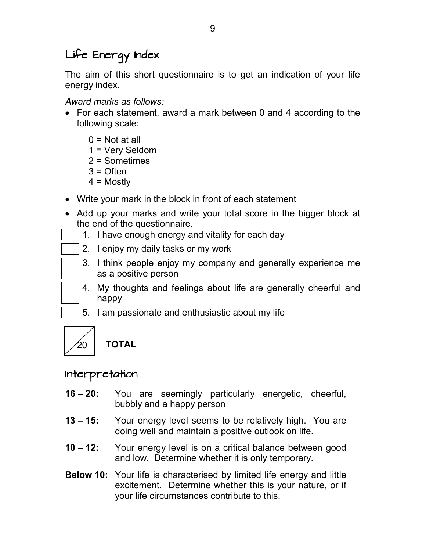# Life Energy Index

The aim of this short questionnaire is to get an indication of your life energy index.

*Award marks as follows:* 

- For each statement, award a mark between 0 and 4 according to the following scale:
	- $0 = Not at all$
	- 1 = Very Seldom
	- 2 = Sometimes
	- $3 =$  Often
	- $4 =$  Mostly
- Write your mark in the block in front of each statement
- Add up your marks and write your total score in the bigger block at the end of the questionnaire.
	- 1. I have enough energy and vitality for each day
	- 2. I enjoy my daily tasks or my work
	- 3. I think people enjoy my company and generally experience me as a positive person
	- 4. My thoughts and feelings about life are generally cheerful and happy
	- 5. I am passionate and enthusiastic about my life



**TOTAL** 

### Interpretation

- **16 20:**  You are seemingly particularly energetic, cheerful, bubbly and a happy person
- **13 15:**  Your energy level seems to be relatively high. You are doing well and maintain a positive outlook on life.
- **10 12:**  Your energy level is on a critical balance between good and low. Determine whether it is only temporary.
- **Below 10:** Your life is characterised by limited life energy and little excitement. Determine whether this is your nature, or if your life circumstances contribute to this.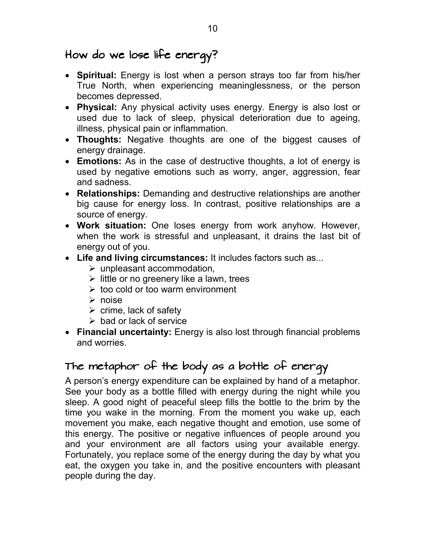# How do we lose life energy?

- **Spiritual:** Energy is lost when a person strays too far from his/her True North, when experiencing meaninglessness, or the person becomes depressed.
- **Physical:** Any physical activity uses energy. Energy is also lost or used due to lack of sleep, physical deterioration due to ageing, illness, physical pain or inflammation.
- **Thoughts:** Negative thoughts are one of the biggest causes of energy drainage.
- **Emotions:** As in the case of destructive thoughts, a lot of energy is used by negative emotions such as worry, anger, aggression, fear and sadness.
- **Relationships:** Demanding and destructive relationships are another big cause for energy loss. In contrast, positive relationships are a source of energy.
- **Work situation:** One loses energy from work anyhow. However, when the work is stressful and unpleasant, it drains the last bit of energy out of you.
- **Life and living circumstances:** It includes factors such as...
	- > unpleasant accommodation,
	- > little or no greenery like a lawn, trees
	- ► too cold or too warm environment
	- noise
	- $\triangleright$  crime, lack of safety
	- > bad or lack of service
- **Financial uncertainty:** Energy is also lost through financial problems and worries.

# The metaphor of the body as a bottle of energy

A person's energy expenditure can be explained by hand of a metaphor. See your body as a bottle filled with energy during the night while you sleep. A good night of peaceful sleep fills the bottle to the brim by the time you wake in the morning. From the moment you wake up, each movement you make, each negative thought and emotion, use some of this energy. The positive or negative influences of people around you and your environment are all factors using your available energy. Fortunately, you replace some of the energy during the day by what you eat, the oxygen you take in, and the positive encounters with pleasant people during the day.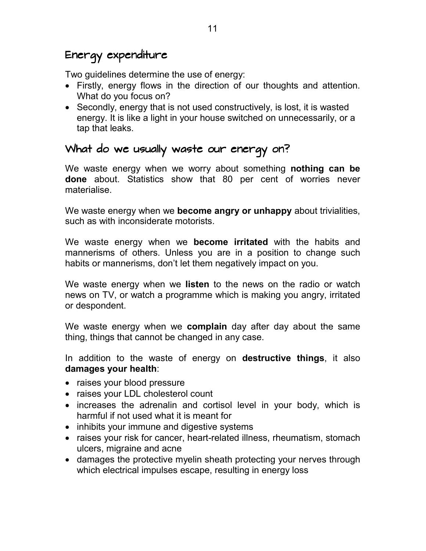# Energy expenditure

Two guidelines determine the use of energy:

- Firstly, energy flows in the direction of our thoughts and attention. What do you focus on?
- Secondly, energy that is not used constructively, is lost, it is wasted energy. It is like a light in your house switched on unnecessarily, or a tap that leaks.

### What do we usually waste our energy on?

We waste energy when we worry about something **nothing can be done** about. Statistics show that 80 per cent of worries never materialise.

We waste energy when we **become angry or unhappy** about trivialities, such as with inconsiderate motorists.

We waste energy when we **become irritated** with the habits and mannerisms of others. Unless you are in a position to change such habits or mannerisms, don't let them negatively impact on you.

We waste energy when we **listen** to the news on the radio or watch news on TV, or watch a programme which is making you angry, irritated or despondent.

We waste energy when we **complain** day after day about the same thing, things that cannot be changed in any case.

In addition to the waste of energy on **destructive things**, it also **damages your health**:

- raises your blood pressure
- raises your LDL cholesterol count
- increases the adrenalin and cortisol level in your body, which is harmful if not used what it is meant for
- inhibits your immune and digestive systems
- raises your risk for cancer, heart-related illness, rheumatism, stomach ulcers, migraine and acne
- damages the protective myelin sheath protecting your nerves through which electrical impulses escape, resulting in energy loss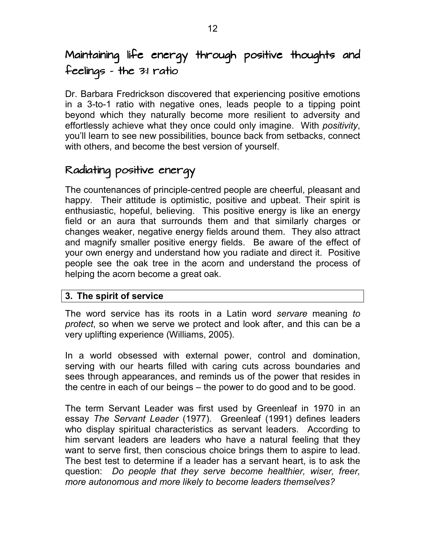# Maintaining life energy through positive thoughts and  $f$ eelings – the  $3:1$  ratio

Dr. Barbara Fredrickson discovered that experiencing positive emotions in a 3-to-1 ratio with negative ones, leads people to a tipping point beyond which they naturally become more resilient to adversity and effortlessly achieve what they once could only imagine. With *positivity*, you'll learn to see new possibilities, bounce back from setbacks, connect with others, and become the best version of yourself.

# Radiating positive energy

The countenances of principle-centred people are cheerful, pleasant and happy. Their attitude is optimistic, positive and upbeat. Their spirit is enthusiastic, hopeful, believing. This positive energy is like an energy field or an aura that surrounds them and that similarly charges or changes weaker, negative energy fields around them. They also attract and magnify smaller positive energy fields. Be aware of the effect of your own energy and understand how you radiate and direct it. Positive people see the oak tree in the acorn and understand the process of helping the acorn become a great oak.

#### **3. The spirit of service**

The word service has its roots in a Latin word *servare* meaning *to protect*, so when we serve we protect and look after, and this can be a very uplifting experience (Williams, 2005).

In a world obsessed with external power, control and domination, serving with our hearts filled with caring cuts across boundaries and sees through appearances, and reminds us of the power that resides in the centre in each of our beings – the power to do good and to be good.

The term Servant Leader was first used by Greenleaf in 1970 in an essay *The Servant Leader* (1977). Greenleaf (1991) defines leaders who display spiritual characteristics as servant leaders. According to him servant leaders are leaders who have a natural feeling that they want to serve first, then conscious choice brings them to aspire to lead. The best test to determine if a leader has a servant heart, is to ask the question: *Do people that they serve become healthier, wiser, freer, more autonomous and more likely to become leaders themselves?*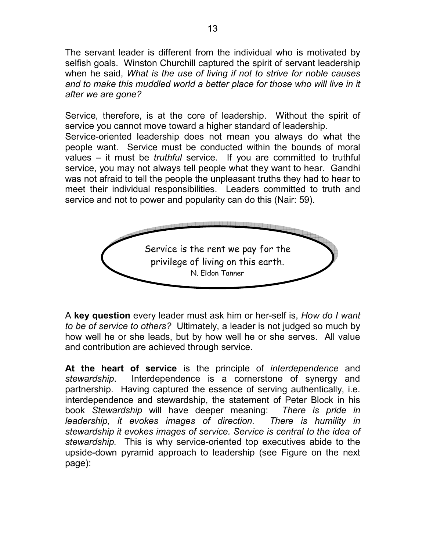The servant leader is different from the individual who is motivated by selfish goals. Winston Churchill captured the spirit of servant leadership when he said, *What is the use of living if not to strive for noble causes*  and to make this muddled world a better place for those who will live in it *after we are gone?*

Service, therefore, is at the core of leadership. Without the spirit of service you cannot move toward a higher standard of leadership. Service-oriented leadership does not mean you always do what the people want. Service must be conducted within the bounds of moral values – it must be *truthful* service. If you are committed to truthful service, you may not always tell people what they want to hear. Gandhi was not afraid to tell the people the unpleasant truths they had to hear to meet their individual responsibilities. Leaders committed to truth and service and not to power and popularity can do this (Nair: 59).



A **key question** every leader must ask him or her-self is, *How do I want to be of service to others?* Ultimately, a leader is not judged so much by how well he or she leads, but by how well he or she serves. All value and contribution are achieved through service.

**At the heart of service** is the principle of *interdependence* and *stewardship*. Interdependence is a cornerstone of synergy and partnership. Having captured the essence of serving authentically, i.e. interdependence and stewardship, the statement of Peter Block in his book *Stewardship* will have deeper meaning: *There is pride in leadership, it evokes images of direction. There is humility in stewardship it evokes images of service. Service is central to the idea of stewardship.* This is why service-oriented top executives abide to the upside-down pyramid approach to leadership (see Figure on the next page):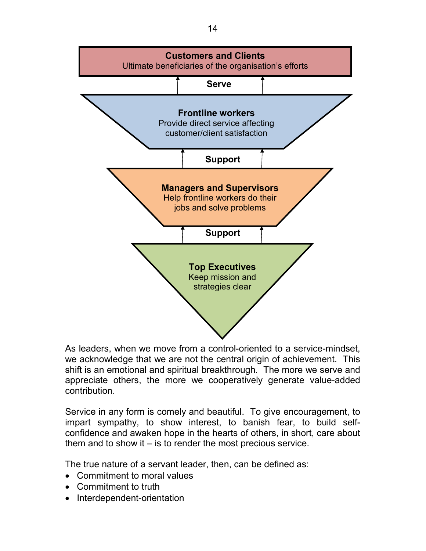

As leaders, when we move from a control-oriented to a service-mindset, we acknowledge that we are not the central origin of achievement. This shift is an emotional and spiritual breakthrough. The more we serve and appreciate others, the more we cooperatively generate value-added contribution.

Service in any form is comely and beautiful. To give encouragement, to impart sympathy, to show interest, to banish fear, to build selfconfidence and awaken hope in the hearts of others, in short, care about them and to show it – is to render the most precious service.

The true nature of a servant leader, then, can be defined as:

- Commitment to moral values
- Commitment to truth
- Interdependent-orientation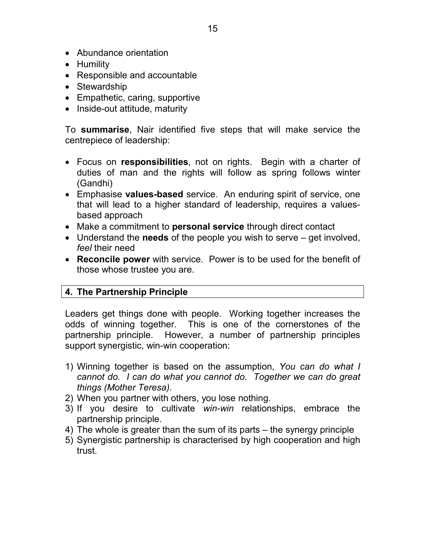- Abundance orientation
- Humility
- Responsible and accountable
- Stewardship
- Empathetic, caring, supportive
- Inside-out attitude, maturity

To **summarise**, Nair identified five steps that will make service the centrepiece of leadership:

- Focus on **responsibilities**, not on rights. Begin with a charter of duties of man and the rights will follow as spring follows winter (Gandhi)
- Emphasise **values-based** service. An enduring spirit of service, one that will lead to a higher standard of leadership, requires a valuesbased approach
- Make a commitment to **personal service** through direct contact
- Understand the **needs** of the people you wish to serve get involved, *feel* their need
- **Reconcile power** with service. Power is to be used for the benefit of those whose trustee you are.

#### **4. The Partnership Principle**

Leaders get things done with people. Working together increases the odds of winning together. This is one of the cornerstones of the partnership principle. However, a number of partnership principles support synergistic, win-win cooperation:

- 1) Winning together is based on the assumption, *You can do what I cannot do. I can do what you cannot do. Together we can do great things (Mother Teresa)*.
- 2) When you partner with others, you lose nothing.
- 3) If you desire to cultivate *win-win* relationships, embrace the partnership principle.
- 4) The whole is greater than the sum of its parts the synergy principle
- 5) Synergistic partnership is characterised by high cooperation and high trust.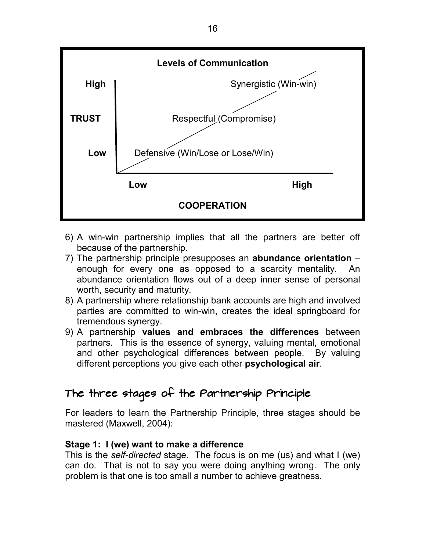

- 6) A win-win partnership implies that all the partners are better off because of the partnership.
- 7) The partnership principle presupposes an **abundance orientation** enough for every one as opposed to a scarcity mentality. An abundance orientation flows out of a deep inner sense of personal worth, security and maturity.
- 8) A partnership where relationship bank accounts are high and involved parties are committed to win-win, creates the ideal springboard for tremendous synergy.
- 9) A partnership **values and embraces the differences** between partners. This is the essence of synergy, valuing mental, emotional and other psychological differences between people. By valuing different perceptions you give each other **psychological air**.

# The three stages of the Partnership Principle

For leaders to learn the Partnership Principle, three stages should be mastered (Maxwell, 2004):

#### **Stage 1: I (we) want to make a difference**

This is the *self-directed* stage. The focus is on me (us) and what I (we) can do. That is not to say you were doing anything wrong. The only problem is that one is too small a number to achieve greatness.